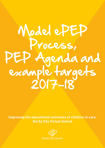# Model ePEP Process, PEP Agenda and<br>example targets<br>2017-18

Improving the educational outcomes of children in care. **Derby City Virtual School** 

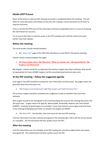# **Model ePEP Process**

Much of the work to make the PEP meeting successful is completed before the meeting. This will allow for more discussion and analysis of how the LAC is doing in school and what can be done to improve outcomes.

If this is not the first PEP much of the information will be pre-populated and it is a case of reviewing the information for accuracy.

Try to ensure that there is internet access in the PEP meeting room and that school and social worker have their laptops.

### **Before the meeting**

The social worker should review/complete:

the "**About Me**" page of the ePEP (the attendance can be filled in during the meeting)

Schools should review/complete the pages:

 **My Views (pupil voice) / My Education / What my schools says / My Special Needs / My Progress and Attainment**

**My Targets** - schools should be considering if the previous targets have been achieved; what would be appropriate for future SMART targets; and the associated pupil premium plus costs.

### **At the PEP meeting – follow the suggested agenda**

Each page in the ePEP should be reviewed for new information and discussed. Key pages which will generally need most discussion are:

"**My Progress and Attainment"** and **"My Targets and Pupil Premium Plus**"

The previous targets should be reviewed and a judgement made on whether they have been achieved.

New targets should be set and agreed at the meeting taking into account the meeting discussion and the pupil voice. Targets need to be Specific, Measureable, Achievable, Realistic and Time limited (SMART). Examples of good targets are provided. If you have internet access agree and write them in the meeting challenging each other on whether the targets are SMART.

"**My Next PEP**" - Set the date, time and venue for the next PEP meeting

If all the information has been entered and agreed at the meeting sign it off to tell the Virtual School it is complete. The Virtual School will then quality assure the PEP.

# **After the meeting**

If all the information was not available at the PEP meeting this should be added within two weeks and signed off. The Virtual School will then quality assure the PEP.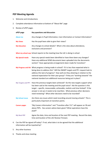# **PEP Meeting Agenda**

- 1. Welcome and introductions
- 2. Complete attendance information at bottom of "About Me" page
- 3. Review of ePEP pages

| ePEP page               | <b>Key questions and discussion</b>                                                                                                                                                                                                                                                                                                                                                                             |
|-------------------------|-----------------------------------------------------------------------------------------------------------------------------------------------------------------------------------------------------------------------------------------------------------------------------------------------------------------------------------------------------------------------------------------------------------------|
| <b>About me</b>         | Any changes in Pupil Information, Care Information or Contact Information?                                                                                                                                                                                                                                                                                                                                      |
| <b>My Views</b>         | Has the pupil been able to give their views?                                                                                                                                                                                                                                                                                                                                                                    |
| <b>My Education</b>     | Any changes to school details? What is the view about attendance,<br>exclusions and provision?                                                                                                                                                                                                                                                                                                                  |
|                         | What my school says School reports to the meeting how the LAC is doing in school                                                                                                                                                                                                                                                                                                                                |
| <b>My Special needs</b> | Have any special needs been identified or have there been any changes?<br>Have any additional SEND documents been uploaded into the documents<br>section? Have appropriate arrangements been made for transition?                                                                                                                                                                                               |
|                         | My Progress and Att What progress is being made in school? If it is less than expected what is<br>being done to address this? Will the SMART targets and PP+ request look to<br>address this lack of progress? How well are they attaining in relation to the<br>national expectation for their year group? If they are "working towards" the<br>national standard are additional resources being put in place? |
| My Targets and PP+      | Have the previous targets been achieved? Do the new targets support what<br>has been said at the meeting and the pupil voice? Ask the question is this<br>target - specific, measureable, achievable, realistic and time limited? If the<br>answer is not yes it needs to be rewritten. What previous other decisions<br>need reviewing? What other decisions need to be recorded?                              |
| <b>My School move</b>   | Are there any issues which need recording around moving schools? This is<br>particularly important at transition points.                                                                                                                                                                                                                                                                                        |
| <b>Careers pages</b>    | "My Careers Information" and "Transition after Y11" will appear on Y8 and<br>above PEPs. Has careers advice been given? What aspirations have the<br>pupil?                                                                                                                                                                                                                                                     |
| <b>My Next PEP</b>      | Agree the date, time and location of the next PEP meeting. Record the date,<br>time and location of the LAC Review if known.                                                                                                                                                                                                                                                                                    |

- 4. Can the PEP be signed off today? If not, what date is to be agreed that the additional information will be inputted by?
- 5. Any other business
- 6. Thanks and close meeting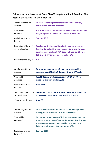Below are examples of what **"New SMART targets and Pupil Premium Plus cost"** in the revised PEP should look like:

| Specific target to be    | To focus in reading comprehension upon deduction,      |
|--------------------------|--------------------------------------------------------|
| achieved                 | retrieval and complex inference                        |
| What will be             | A written answer to comprehension questions that would |
| measured?                | fully comply with the mark scheme to achieve ARE       |
| Realistic date to be     | <b>Summer 2017.</b>                                    |
| done by?                 |                                                        |
| Description of how PP+   | Teacher led 1:6 interventions for 1 hour per week, for |
| cost is calculated?      | Reading Comp for 13 weeks in spring term and 5 weeks   |
|                          | summer term until next PEP. Cost = 18 weeks x 1 hour x |
|                          | £25 p.h. = £450 divided by six pupils = $£75$          |
| PP+ cost for this target | £75                                                    |

| Specific target to be    | To improve common high frequency words spelling          |
|--------------------------|----------------------------------------------------------|
| achieved                 | accuracy, so ARE in SPAG does not drop to WT again.      |
|                          |                                                          |
| What will be             | Weekly testing produces scores of 10/20, on 80% of       |
| measured?                | occasions (current level is 3/20)                        |
|                          |                                                          |
| Realistic date to be     | <b>June 2017</b>                                         |
| done by?                 |                                                          |
|                          |                                                          |
| Description of how PP+   | 1-1 support twice weekly in Nurture Group, 20 mins. Cost |
| cost is calculated?      | $= 18$ weeks x 0.66 hours x £12.50 p.h. = £ 148.50       |
|                          |                                                          |
| PP+ cost for this target | £148.50                                                  |
|                          |                                                          |

| Specific target to be<br>achieved | To persevere 100% of the time in Maths when problem<br>solving, when problems are at AE not OE level.                                                                                                                   |
|-----------------------------------|-------------------------------------------------------------------------------------------------------------------------------------------------------------------------------------------------------------------------|
| What will be<br>measured?         | To begin to work above ARE in his most secure areas by<br>summer 2017, so even if teacher judgement is still at ARE,<br>there is narrative/qualitative evidence to support a<br>judgement of working towards above ARE. |
| Realistic date to be<br>done by?  | Summer 2017                                                                                                                                                                                                             |